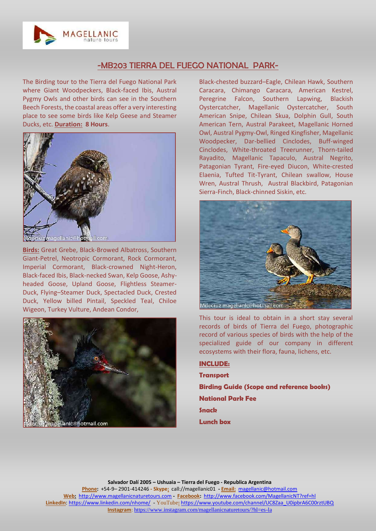

## -MB203 TIERRA DEL FUEGO NATIONAL PARK-

The Birding tour to the Tierra del Fuego National Park where Giant Woodpeckers, Black-faced Ibis, Austral Pygmy Owls and other birds can see in the Southern Beech Forests, the coastal areas offer a very interesting place to see some birds like Kelp Geese and Steamer Ducks, etc. **Duration: 8 Hours**.



**Birds:** Great Grebe, Black-Browed Albatross, Southern Giant-Petrel, Neotropic Cormorant, Rock Cormorant, Imperial Cormorant, Black-crowned Night-Heron, Black-faced Ibis, Black-necked Swan, Kelp Goose, Ashyheaded Goose, Upland Goose, Flightless Steamer-Duck, Flying–Steamer Duck, Spectacled Duck, Crested Duck, Yellow billed Pintail, Speckled Teal, Chiloe Wigeon, Turkey Vulture, Andean Condor,



Black-chested buzzard–Eagle, Chilean Hawk, Southern Caracara, Chimango Caracara, American Kestrel, Peregrine Falcon, Southern Lapwing, Blackish Oystercatcher, Magellanic Oystercatcher, South American Snipe, Chilean Skua, Dolphin Gull, South American Tern, Austral Parakeet, Magellanic Horned Owl, Austral Pygmy-Owl, Ringed Kingfisher, Magellanic Woodpecker, Dar-bellied Cinclodes, Buff-winged Cinclodes, White-throated Treerunner, Thorn-tailed Rayadito, Magellanic Tapaculo, Austral Negrito, Patagonian Tyrant, Fire-eyed Diucon, White-crested Elaenia, Tufted Tit-Tyrant, Chilean swallow, House Wren, Austral Thrush, Austral Blackbird, Patagonian Sierra-Finch, Black-chinned Siskin, etc.



This tour is ideal to obtain in a short stay several records of birds of Tierra del Fuego, photographic record of various species of birds with the help of the specialized guide of our company in different ecosystems with their flora, fauna, lichens, etc.

**INCLUDE: Transport Birding Guide (Scope and reference books) National Park Fee Snack Lunch box**

**Salvador Dalí 2005 – Ushuaia – Tierra del Fuego - Republica Argentina Phone:** +54-9– 2901-414246 **- Skype:** call://magellanic01 **- Email:** [magellanic@hotmail.com](mailto:magellanic@hotmail.com) **Web:** [http://www.magellanicnaturetours.com](http://www.magellanicnaturetours.com/) **- Facebook:** <http://www.facebook.com/MagellanicNT?ref=hl> **LinkedIn**: <https://www.linkedin.com/nhome/> - YouTube**:** [https://www.youtube.com/channel/UC8Zaa\\_U0ipbrA6C00rztUBQ](https://www.youtube.com/channel/UC8Zaa_U0ipbrA6C00rztUBQ) **Instagram**: <https://www.instagram.com/magellanicnaturetours/?hl=es-la>